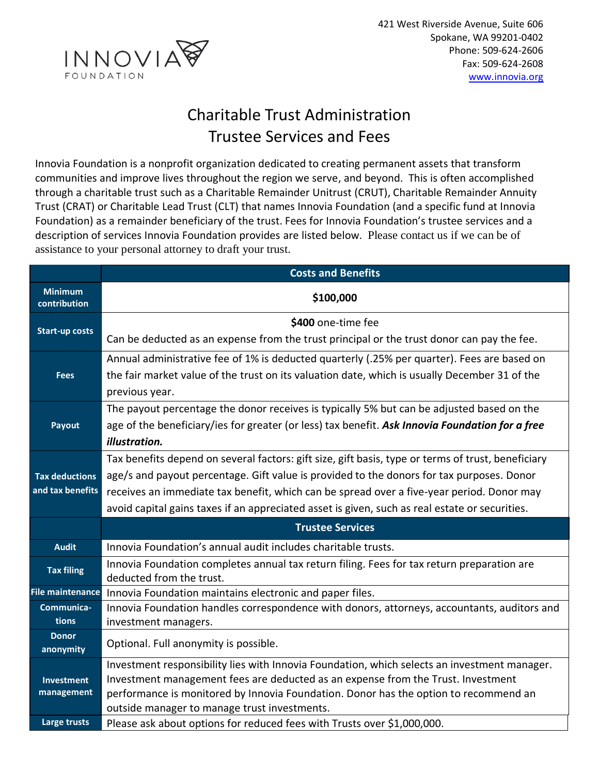

## Charitable Trust Administration Trustee Services and Fees

Innovia Foundation is a nonprofit organization dedicated to creating permanent assets that transform communities and improve lives throughout the region we serve, and beyond. This is often accomplished through a charitable trust such as a Charitable Remainder Unitrust (CRUT), Charitable Remainder Annuity Trust (CRAT) or Charitable Lead Trust (CLT) that names Innovia Foundation (and a specific fund at Innovia Foundation) as a remainder beneficiary of the trust. Fees for Innovia Foundation's trustee services and a description of services Innovia Foundation provides are listed below. Please contact us if we can be of assistance to your personal attorney to draft your trust.

|                                | <b>Costs and Benefits</b>                                                                          |
|--------------------------------|----------------------------------------------------------------------------------------------------|
| <b>Minimum</b><br>contribution | \$100,000                                                                                          |
| <b>Start-up costs</b>          | \$400 one-time fee                                                                                 |
|                                | Can be deducted as an expense from the trust principal or the trust donor can pay the fee.         |
|                                | Annual administrative fee of 1% is deducted quarterly (.25% per quarter). Fees are based on        |
| <b>Fees</b>                    | the fair market value of the trust on its valuation date, which is usually December 31 of the      |
|                                | previous year.                                                                                     |
|                                | The payout percentage the donor receives is typically 5% but can be adjusted based on the          |
| Payout                         | age of the beneficiary/ies for greater (or less) tax benefit. Ask Innovia Foundation for a free    |
|                                | illustration.                                                                                      |
|                                | Tax benefits depend on several factors: gift size, gift basis, type or terms of trust, beneficiary |
| <b>Tax deductions</b>          | age/s and payout percentage. Gift value is provided to the donors for tax purposes. Donor          |
| and tax benefits               | receives an immediate tax benefit, which can be spread over a five-year period. Donor may          |
|                                | avoid capital gains taxes if an appreciated asset is given, such as real estate or securities.     |
|                                | <b>Trustee Services</b>                                                                            |
| <b>Audit</b>                   | Innovia Foundation's annual audit includes charitable trusts.                                      |
| <b>Tax filing</b>              | Innovia Foundation completes annual tax return filing. Fees for tax return preparation are         |
|                                | deducted from the trust.                                                                           |
| <b>File maintenance</b>        | Innovia Foundation maintains electronic and paper files.                                           |
| Communica-                     | Innovia Foundation handles correspondence with donors, attorneys, accountants, auditors and        |
| tions                          | investment managers.                                                                               |
| <b>Donor</b><br>anonymity      | Optional. Full anonymity is possible.                                                              |
|                                | Investment responsibility lies with Innovia Foundation, which selects an investment manager.       |
| <b>Investment</b>              | Investment management fees are deducted as an expense from the Trust. Investment                   |
| management                     | performance is monitored by Innovia Foundation. Donor has the option to recommend an               |
|                                | outside manager to manage trust investments.                                                       |
| Large trusts                   | Please ask about options for reduced fees with Trusts over \$1,000,000.                            |